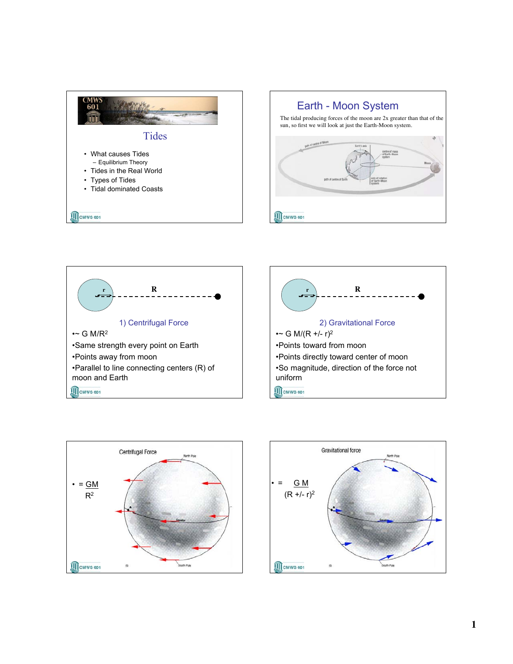







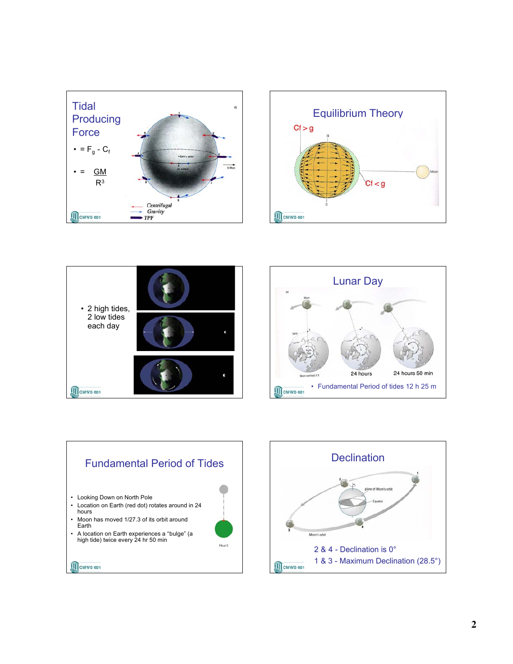









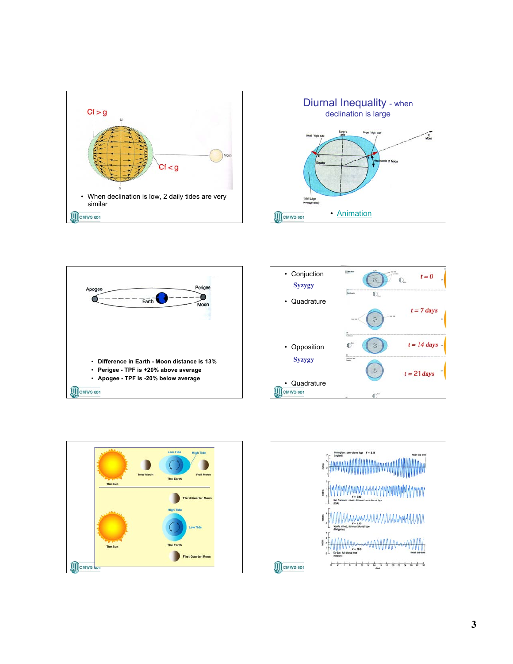









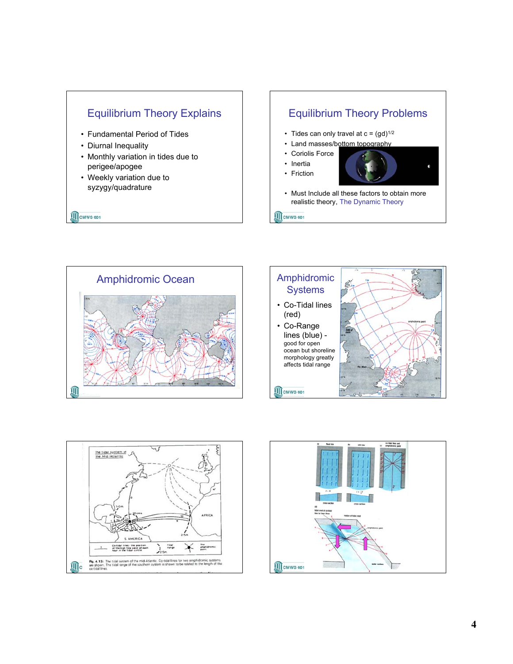

## Equilibrium Theory Problems • Tides can only travel at  $c = (gd)^{1/2}$ • Land masses/bottom topography • Coriolis Force • Inertia • Friction

• Must Include all these factors to obtain more realistic theory, The Dynamic Theory

**III** CMWS 601







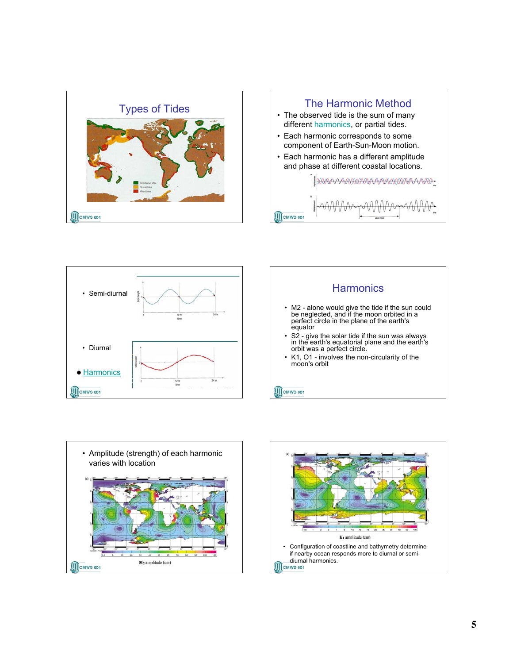









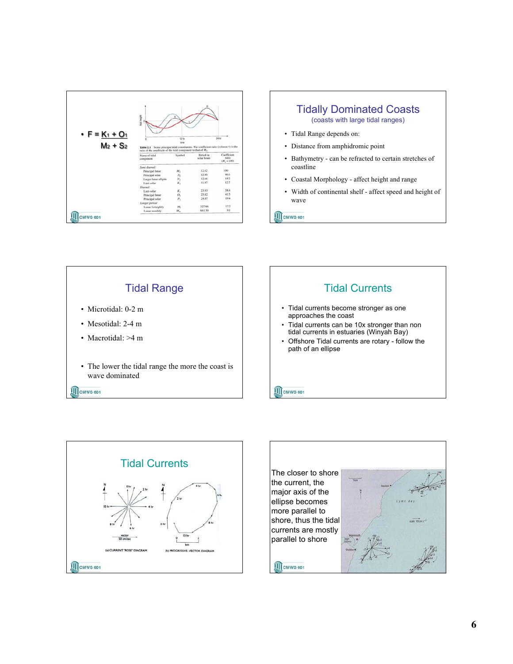



**III** CMWS 601